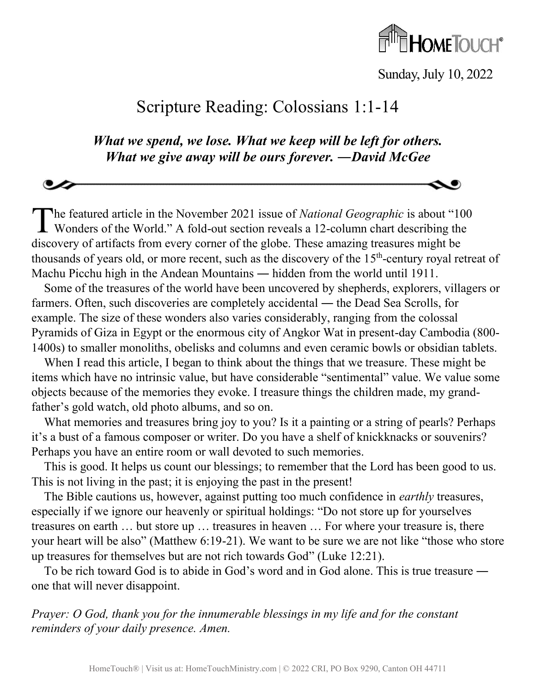

Sunday, July 10, 2022

## Scripture Reading: Colossians 1:1-14

*What we spend, we lose. What we keep will be left for others. What we give away will be ours forever. ―David McGee*

he featured article in the November 2021 issue of *National Geographic* is about "100 The featured article in the November 2021 issue of *National Geographic* is about "100" Wonders of the World." A fold-out section reveals a 12-column chart describing the discovery of artifacts from every corner of the globe. These amazing treasures might be thousands of years old, or more recent, such as the discovery of the 15<sup>th</sup>-century royal retreat of Machu Picchu high in the Andean Mountains ― hidden from the world until 1911.

Some of the treasures of the world have been uncovered by shepherds, explorers, villagers or farmers. Often, such discoveries are completely accidental ― the Dead Sea Scrolls, for example. The size of these wonders also varies considerably, ranging from the colossal Pyramids of Giza in Egypt or the enormous city of Angkor Wat in present-day Cambodia (800- 1400s) to smaller monoliths, obelisks and columns and even ceramic bowls or obsidian tablets.

When I read this article, I began to think about the things that we treasure. These might be items which have no intrinsic value, but have considerable "sentimental" value. We value some objects because of the memories they evoke. I treasure things the children made, my grandfather's gold watch, old photo albums, and so on.

What memories and treasures bring joy to you? Is it a painting or a string of pearls? Perhaps it's a bust of a famous composer or writer. Do you have a shelf of knickknacks or souvenirs? Perhaps you have an entire room or wall devoted to such memories.

This is good. It helps us count our blessings; to remember that the Lord has been good to us. This is not living in the past; it is enjoying the past in the present!

The Bible cautions us, however, against putting too much confidence in *earthly* treasures, especially if we ignore our heavenly or spiritual holdings: "Do not store up for yourselves treasures on earth … but store up … treasures in heaven … For where your treasure is, there your heart will be also" (Matthew 6:19-21). We want to be sure we are not like "those who store up treasures for themselves but are not rich towards God" (Luke 12:21).

To be rich toward God is to abide in God's word and in God alone. This is true treasure ― one that will never disappoint.

*Prayer: O God, thank you for the innumerable blessings in my life and for the constant reminders of your daily presence. Amen.*